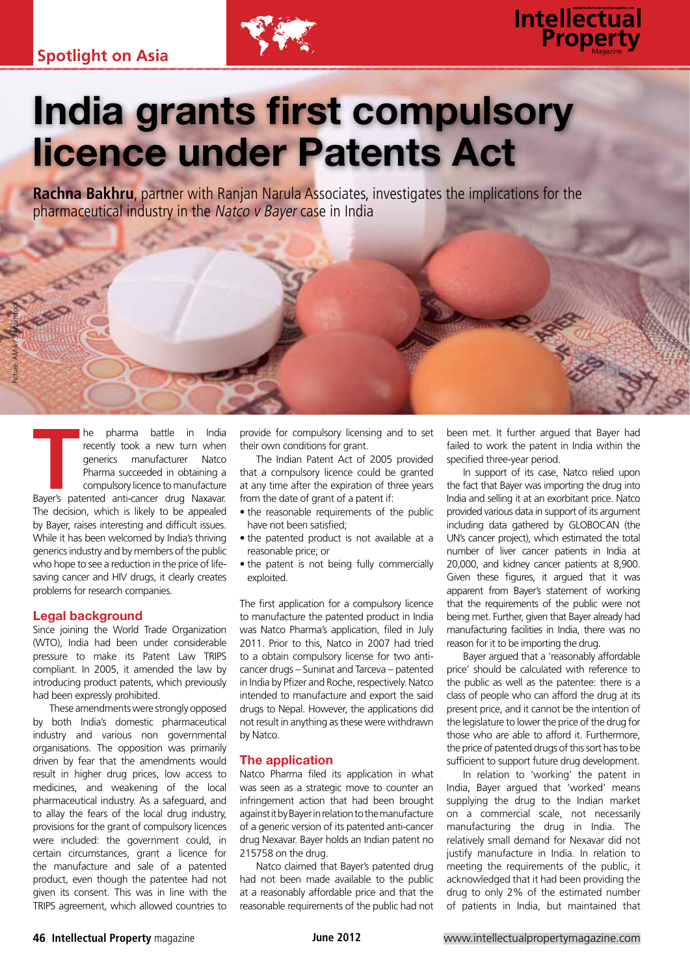

# **Intellectual**<br>**Property**

# India grants first compulsory licence under Patents Act

**Rachna Bakhru**, partner with Ranjan Narula Associates, investigates the implications for the pharmaceutical industry in the Natco v Bayer case in India

**THE SERVIS CONCRETENT SERVIS CONTINUES AND SERVIS CONTINUES PARTIES CONTINUES AND COMPULSORY LICENSE AND A COMPULSORY LICENSE AND A COMPULSORY LICENSE AND A COMPULSORY LICENSE AND A COMPULSORY LICENSE AND A COMPULSORY LIC** he pharma battle in India recently took a new turn when generics manufacturer Natco Pharma succeeded in obtaining a compulsory licence to manufacture The decision, which is likely to be appealed by Bayer, raises interesting and difficult issues. While it has been welcomed by India's thriving generics industry and by members of the public

Picture: AMA / Shutterstock

who hope to see a reduction in the price of lifesaving cancer and HIV drugs, it clearly creates problems for research companies.

# Legal background

Since joining the World Trade Organization (WTO), India had been under considerable pressure to make its Patent Law TRIPS compliant. In 2005, it amended the law by introducing product patents, which previously had been expressly prohibited.

These amendments were strongly opposed by both India's domestic pharmaceutical industry and various non governmental organisations. The opposition was primarily driven by fear that the amendments would result in higher drug prices, low access to medicines, and weakening of the local pharmaceutical industry. As a safeguard, and to allay the fears of the local drug industry, provisions for the grant of compulsory licences were included: the government could, in certain circumstances, grant a licence for the manufacture and sale of a patented product, even though the patentee had not given its consent. This was in line with the TRIPS agreement, which allowed countries to

provide for compulsory licensing and to set their own conditions for grant.

The Indian Patent Act of 2005 provided that a compulsory licence could be granted at any time after the expiration of three years from the date of grant of a patent if:

- the reasonable requirements of the public have not been satisfied;
- the patented product is not available at a reasonable price; or
- the patent is not being fully commercially exploited.

The first application for a compulsory licence to manufacture the patented product in India was Natco Pharma's application, filed in July 2011. Prior to this, Natco in 2007 had tried to a obtain compulsory license for two anticancer drugs – Suninat and Tarceva – patented in India by Pfizer and Roche, respectively. Natco intended to manufacture and export the said drugs to Nepal. However, the applications did not result in anything as these were withdrawn by Natco.

## The application

Natco Pharma filed its application in what was seen as a strategic move to counter an infringement action that had been brought against it by Bayer in relation to the manufacture of a generic version of its patented anti-cancer drug Nexavar. Bayer holds an Indian patent no 215758 on the drug.

Natco claimed that Bayer's patented drug had not been made available to the public at a reasonably affordable price and that the reasonable requirements of the public had not

been met. It further argued that Bayer had failed to work the patent in India within the specified three-year period.

In support of its case, Natco relied upon the fact that Bayer was importing the drug into India and selling it at an exorbitant price. Natco provided various data in support of its argument including data gathered by GLOBOCAN (the UN's cancer project), which estimated the total number of liver cancer patients in India at 20,000, and kidney cancer patients at 8,900. Given these figures, it argued that it was apparent from Bayer's statement of working that the requirements of the public were not being met. Further, given that Bayer already had manufacturing facilities in India, there was no reason for it to be importing the drug.

Bayer argued that a 'reasonably affordable price' should be calculated with reference to the public as well as the patentee: there is a class of people who can afford the drug at its present price, and it cannot be the intention of the legislature to lower the price of the drug for those who are able to afford it. Furthermore, the price of patented drugs of this sort has to be sufficient to support future drug development.

In relation to 'working' the patent in India, Bayer argued that 'worked' means supplying the drug to the Indian market on a commercial scale, not necessarily manufacturing the drug in India. The relatively small demand for Nexavar did not justify manufacture in India. In relation to meeting the requirements of the public, it acknowledged that it had been providing the drug to only 2% of the estimated number of patients in India, but maintained that